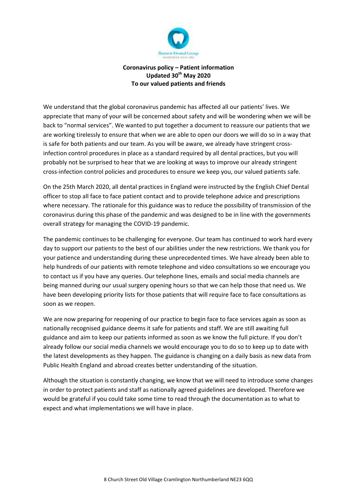

# **Coronavirus policy – Patient information Updated 30th May 2020 To our valued patients and friends**

We understand that the global coronavirus pandemic has affected all our patients' lives. We appreciate that many of your will be concerned about safety and will be wondering when we will be back to "normal services". We wanted to put together a document to reassure our patients that we are working tirelessly to ensure that when we are able to open our doors we will do so in a way that is safe for both patients and our team. As you will be aware, we already have stringent crossinfection control procedures in place as a standard required by all dental practices, but you will probably not be surprised to hear that we are looking at ways to improve our already stringent cross-infection control policies and procedures to ensure we keep you, our valued patients safe.

On the 25th March 2020, all dental practices in England were instructed by the English Chief Dental officer to stop all face to face patient contact and to provide telephone advice and prescriptions where necessary. The rationale for this guidance was to reduce the possibility of transmission of the coronavirus during this phase of the pandemic and was designed to be in line with the governments overall strategy for managing the COVID-19 pandemic.

The pandemic continues to be challenging for everyone. Our team has continued to work hard every day to support our patients to the best of our abilities under the new restrictions. We thank you for your patience and understanding during these unprecedented times. We have already been able to help hundreds of our patients with remote telephone and video consultations so we encourage you to contact us if you have any queries. Our telephone lines, emails and social media channels are being manned during our usual surgery opening hours so that we can help those that need us. We have been developing priority lists for those patients that will require face to face consultations as soon as we reopen.

We are now preparing for reopening of our practice to begin face to face services again as soon as nationally recognised guidance deems it safe for patients and staff. We are still awaiting full guidance and aim to keep our patients informed as soon as we know the full picture. If you don't already follow our social media channels we would encourage you to do so to keep up to date with the latest developments as they happen. The guidance is changing on a daily basis as new data from Public Health England and abroad creates better understanding of the situation.

Although the situation is constantly changing, we know that we will need to introduce some changes in order to protect patients and staff as nationally agreed guidelines are developed. Therefore we would be grateful if you could take some time to read through the documentation as to what to expect and what implementations we will have in place.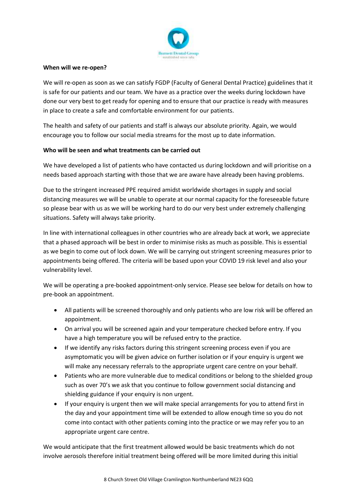

#### **When will we re-open?**

We will re-open as soon as we can satisfy FGDP (Faculty of General Dental Practice) guidelines that it is safe for our patients and our team. We have as a practice over the weeks during lockdown have done our very best to get ready for opening and to ensure that our practice is ready with measures in place to create a safe and comfortable environment for our patients.

The health and safety of our patients and staff is always our absolute priority. Again, we would encourage you to follow our social media streams for the most up to date information.

## **Who will be seen and what treatments can be carried out**

We have developed a list of patients who have contacted us during lockdown and will prioritise on a needs based approach starting with those that we are aware have already been having problems.

Due to the stringent increased PPE required amidst worldwide shortages in supply and social distancing measures we will be unable to operate at our normal capacity for the foreseeable future so please bear with us as we will be working hard to do our very best under extremely challenging situations. Safety will always take priority.

In line with international colleagues in other countries who are already back at work, we appreciate that a phased approach will be best in order to minimise risks as much as possible. This is essential as we begin to come out of lock down. We will be carrying out stringent screening measures prior to appointments being offered. The criteria will be based upon your COVID 19 risk level and also your vulnerability level.

We will be operating a pre-booked appointment-only service. Please see below for details on how to pre-book an appointment.

- All patients will be screened thoroughly and only patients who are low risk will be offered an appointment.
- On arrival you will be screened again and your temperature checked before entry. If you have a high temperature you will be refused entry to the practice.
- If we identify any risks factors during this stringent screening process even if you are asymptomatic you will be given advice on further isolation or if your enquiry is urgent we will make any necessary referrals to the appropriate urgent care centre on your behalf.
- Patients who are more vulnerable due to medical conditions or belong to the shielded group such as over 70's we ask that you continue to follow government social distancing and shielding guidance if your enquiry is non urgent.
- If your enquiry is urgent then we will make special arrangements for you to attend first in the day and your appointment time will be extended to allow enough time so you do not come into contact with other patients coming into the practice or we may refer you to an appropriate urgent care centre.

We would anticipate that the first treatment allowed would be basic treatments which do not involve aerosols therefore initial treatment being offered will be more limited during this initial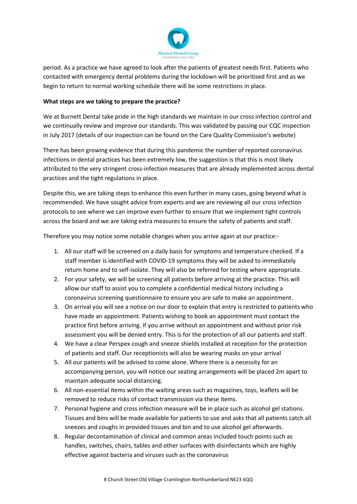

period. As a practice we have agreed to look after the patients of greatest needs first. Patients who contacted with emergency dental problems during the lockdown will be prioritised first and as we begin to return to normal working schedule there will be some restrictions in place.

## **What steps are we taking to prepare the practice?**

We at Burnett Dental take pride in the high standards we maintain in our cross infection control and we continually review and improve our standards. This was validated by passing our CQC inspection in July 2017 (details of our inspection can be found on the Care Quality Commission's website)

There has been growing evidence that during this pandemic the number of reported coronavirus infections in dental practices has been extremely low, the suggestion is that this is most likely attributed to the very stringent cross-infection measures that are already implemented across dental practices and the tight regulations in place.

Despite this, we are taking steps to enhance this even further in many cases, going beyond what is recommended. We have sought advice from experts and we are reviewing all our cross infection protocols to see where we can improve even further to ensure that we implement tight controls across the board and we are taking extra measures to ensure the safety of patients and staff.

Therefore you may notice some notable changes when you arrive again at our practice:-

- 1. All our staff will be screened on a daily basis for symptoms and temperature checked. If a staff member is identified with COVID-19 symptoms they will be asked to immediately return home and to self-isolate. They will also be referred for testing where appropriate.
- 2. For your safety, we will be screening all patients before arriving at the practice. This will allow our staff to assist you to complete a confidential medical history including a coronavirus screening questionnaire to ensure you are safe to make an appointment.
- 3. On arrival you will see a notice on our door to explain that entry is restricted to patients who have made an appointment. Patients wishing to book an appointment must contact the practice first before arriving. If you arrive without an appointment and without prior risk assessment you will be denied entry. This is for the protection of all our patients and staff.
- 4. We have a clear Perspex cough and sneeze shields installed at reception for the protection of patients and staff. Our receptionists will also be wearing masks on your arrival
- 5. All our patients will be advised to come alone. Where there is a necessity for an accompanying person, you will notice our seating arrangements will be placed 2m apart to maintain adequate social distancing.
- 6. All non-essential items within the waiting areas such as magazines, toys, leaflets will be removed to reduce risks of contact transmission via these items.
- 7. Personal hygiene and cross infection measure will be in place such as alcohol gel stations. Tissues and bins will be made available for patients to use and asks that all patients catch all sneezes and coughs in provided tissues and bin and to use alcohol gel afterwards.
- 8. Regular decontamination of clinical and common areas included touch points such as handles, switches, chairs, tables and other surfaces with disinfectants which are highly effective against bacteria and viruses such as the coronavirus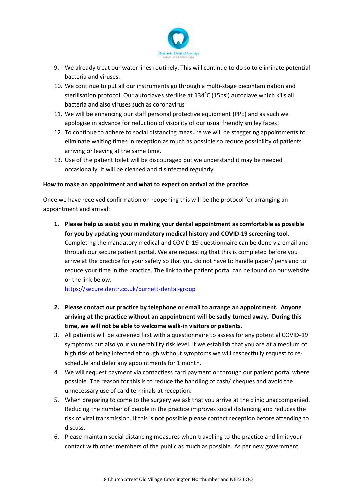

- 9. We already treat our water lines routinely. This will continue to do so to eliminate potential bacteria and viruses.
- 10. We continue to put all our instruments go through a multi-stage decontamination and sterilisation protocol. Our autoclaves sterilise at 134°C (15psi) autoclave which kills all bacteria and also viruses such as coronavirus
- 11. We will be enhancing our staff personal protective equipment (PPE) and as such we apologise in advance for reduction of visibility of our usual friendly smiley faces!
- 12. To continue to adhere to social distancing measure we will be staggering appointments to eliminate waiting times in reception as much as possible so reduce possibility of patients arriving or leaving at the same time.
- 13. Use of the patient toilet will be discouraged but we understand it may be needed occasionally. It will be cleaned and disinfected regularly.

## **How to make an appointment and what to expect on arrival at the practice**

Once we have received confirmation on reopening this will be the protocol for arranging an appointment and arrival:

**1. Please help us assist you in making your dental appointment as comfortable as possible for you by updating your mandatory medical history and COVID-19 screening tool.**  Completing the mandatory medical and COVID-19 questionnaire can be done via email and through our secure patient portal. We are requesting that this is completed before you arrive at the practice for your safety so that you do not have to handle paper/ pens and to reduce your time in the practice. The link to the patient portal can be found on our website or the link below.

<https://secure.dentr.co.uk/burnett-dental-group>

- **2. Please contact our practice by telephone or email to arrange an appointment. Anyone arriving at the practice without an appointment will be sadly turned away. During this time, we will not be able to welcome walk-in visitors or patients.**
- 3. All patients will be screened first with a questionnaire to assess for any potential COVID-19 symptoms but also your vulnerability risk level. If we establish that you are at a medium of high risk of being infected although without symptoms we will respectfully request to reschedule and defer any appointments for 1 month.
- 4. We will request payment via contactless card payment or through our patient portal where possible. The reason for this is to reduce the handling of cash/ cheques and avoid the unnecessary use of card terminals at reception.
- 5. When preparing to come to the surgery we ask that you arrive at the clinic unaccompanied. Reducing the number of people in the practice improves social distancing and reduces the risk of viral transmission. If this is not possible please contact reception before attending to discuss.
- 6. Please maintain social distancing measures when travelling to the practice and limit your contact with other members of the public as much as possible. As per new government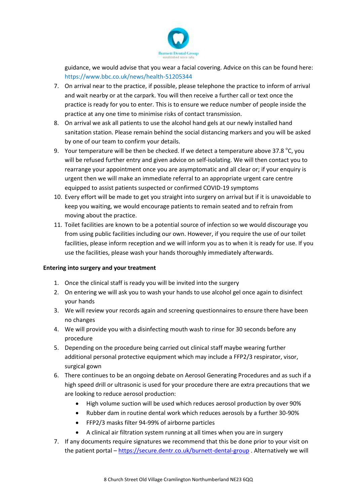

guidance, we would advise that you wear a facial covering. Advice on this can be found here: https://www.bbc.co.uk/news/health-51205344

- 7. On arrival near to the practice, if possible, please telephone the practice to inform of arrival and wait nearby or at the carpark. You will then receive a further call or text once the practice is ready for you to enter. This is to ensure we reduce number of people inside the practice at any one time to minimise risks of contact transmission.
- 8. On arrival we ask all patients to use the alcohol hand gels at our newly installed hand sanitation station. Please remain behind the social distancing markers and you will be asked by one of our team to confirm your details.
- 9. Your temperature will be then be checked. If we detect a temperature above 37.8  $^{\circ}$ C, you will be refused further entry and given advice on self-isolating. We will then contact you to rearrange your appointment once you are asymptomatic and all clear or; if your enquiry is urgent then we will make an immediate referral to an appropriate urgent care centre equipped to assist patients suspected or confirmed COVID-19 symptoms
- 10. Every effort will be made to get you straight into surgery on arrival but if it is unavoidable to keep you waiting, we would encourage patients to remain seated and to refrain from moving about the practice.
- 11. Toilet facilities are known to be a potential source of infection so we would discourage you from using public facilities including our own. However, if you require the use of our toilet facilities, please inform reception and we will inform you as to when it is ready for use. If you use the facilities, please wash your hands thoroughly immediately afterwards.

## **Entering into surgery and your treatment**

- 1. Once the clinical staff is ready you will be invited into the surgery
- 2. On entering we will ask you to wash your hands to use alcohol gel once again to disinfect your hands
- 3. We will review your records again and screening questionnaires to ensure there have been no changes
- 4. We will provide you with a disinfecting mouth wash to rinse for 30 seconds before any procedure
- 5. Depending on the procedure being carried out clinical staff maybe wearing further additional personal protective equipment which may include a FFP2/3 respirator, visor, surgical gown
- 6. There continues to be an ongoing debate on Aerosol Generating Procedures and as such if a high speed drill or ultrasonic is used for your procedure there are extra precautions that we are looking to reduce aerosol production:
	- High volume suction will be used which reduces aerosol production by over 90%
	- Rubber dam in routine dental work which reduces aerosols by a further 30-90%
	- FFP2/3 masks filter 94-99% of airborne particles
	- A clinical air filtration system running at all times when you are in surgery
- 7. If any documents require signatures we recommend that this be done prior to your visit on the patient portal – <https://secure.dentr.co.uk/burnett-dental-group> . Alternatively we will